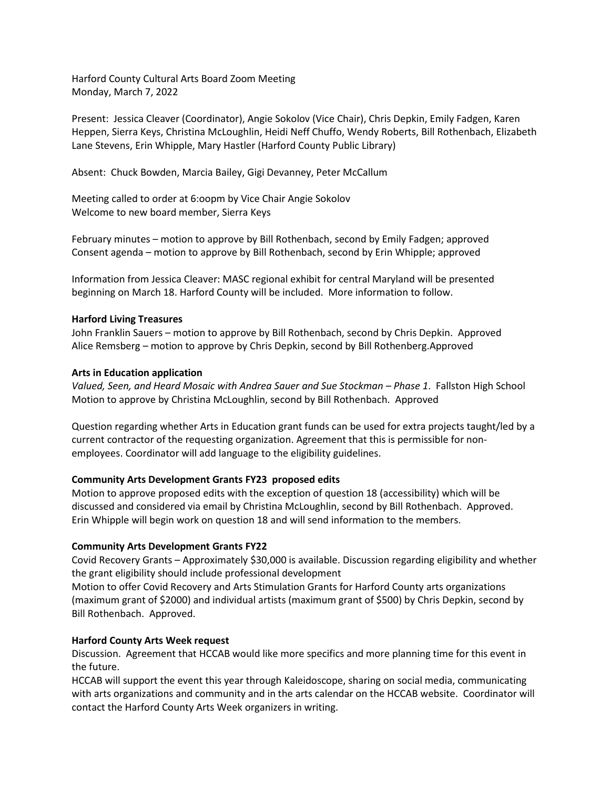Harford County Cultural Arts Board Zoom Meeting Monday, March 7, 2022

Present: Jessica Cleaver (Coordinator), Angie Sokolov (Vice Chair), Chris Depkin, Emily Fadgen, Karen Heppen, Sierra Keys, Christina McLoughlin, Heidi Neff Chuffo, Wendy Roberts, Bill Rothenbach, Elizabeth Lane Stevens, Erin Whipple, Mary Hastler (Harford County Public Library)

Absent: Chuck Bowden, Marcia Bailey, Gigi Devanney, Peter McCallum

Meeting called to order at 6:oopm by Vice Chair Angie Sokolov Welcome to new board member, Sierra Keys

February minutes – motion to approve by Bill Rothenbach, second by Emily Fadgen; approved Consent agenda – motion to approve by Bill Rothenbach, second by Erin Whipple; approved

Information from Jessica Cleaver: MASC regional exhibit for central Maryland will be presented beginning on March 18. Harford County will be included. More information to follow.

### **Harford Living Treasures**

John Franklin Sauers – motion to approve by Bill Rothenbach, second by Chris Depkin. Approved Alice Remsberg – motion to approve by Chris Depkin, second by Bill Rothenberg.Approved

### **Arts in Education application**

*Valued, Seen, and Heard Mosaic with Andrea Sauer and Sue Stockman – Phase 1*. Fallston High School Motion to approve by Christina McLoughlin, second by Bill Rothenbach. Approved

Question regarding whether Arts in Education grant funds can be used for extra projects taught/led by a current contractor of the requesting organization. Agreement that this is permissible for nonemployees. Coordinator will add language to the eligibility guidelines.

# **Community Arts Development Grants FY23 proposed edits**

Motion to approve proposed edits with the exception of question 18 (accessibility) which will be discussed and considered via email by Christina McLoughlin, second by Bill Rothenbach. Approved. Erin Whipple will begin work on question 18 and will send information to the members.

#### **Community Arts Development Grants FY22**

Covid Recovery Grants – Approximately \$30,000 is available. Discussion regarding eligibility and whether the grant eligibility should include professional development

Motion to offer Covid Recovery and Arts Stimulation Grants for Harford County arts organizations (maximum grant of \$2000) and individual artists (maximum grant of \$500) by Chris Depkin, second by Bill Rothenbach. Approved.

# **Harford County Arts Week request**

Discussion. Agreement that HCCAB would like more specifics and more planning time for this event in the future.

HCCAB will support the event this year through Kaleidoscope, sharing on social media, communicating with arts organizations and community and in the arts calendar on the HCCAB website. Coordinator will contact the Harford County Arts Week organizers in writing.